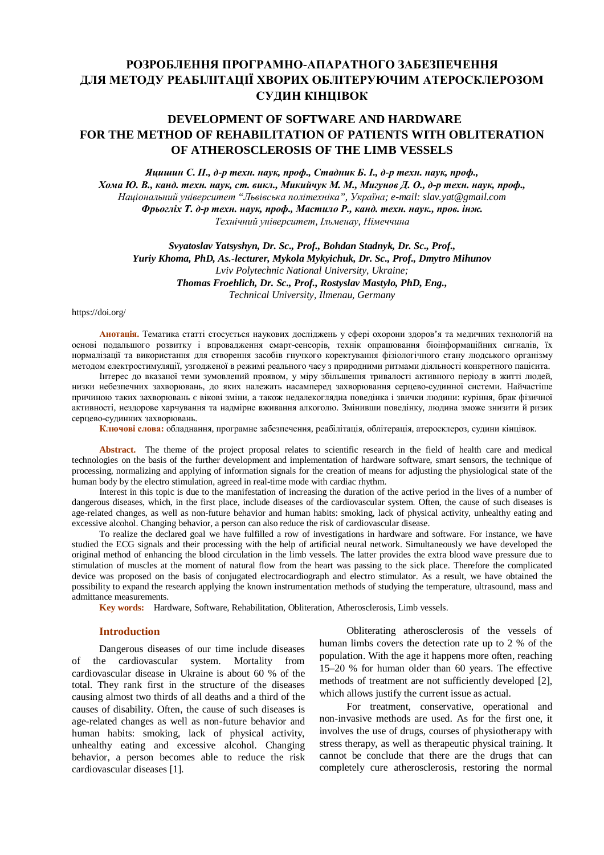# **РОЗРОБЛЕННЯ ПРОГРАМНО-АПАРАТНОГО ЗАБЕЗПЕЧЕННЯ ДЛЯ МЕТОДУ РЕАБІЛІТАЦІЇ ХВОРИХ ОБЛІТЕРУЮЧИМ АТЕРОСКЛЕРОЗОМ СУДИН КІНЦІВОК**

## **DEVELOPMENT OF SOFTWARE AND HARDWARE FOR THE METHOD OF REHABILITATION OF PATIENTS WITH OBLITERATION OF ATHEROSCLEROSIS OF THE LIMB VESSELS**

Яцишин С. П., д-р техн. наук, проф., Стадник Б. I., д-р техн. наук, проф.,

Хома Ю. В., канд. техн. наук, ст. викл., Микийчук М. М., Мигунов Д. О., д-р техн. наук, проф., *Національний університет "Львівська політехніка", Україна; e-mail: slav.yat@gmail.com*  Фрьогліх Т. д-р техн. наук, проф., Мастило Р., канд. техн. наук., пров. інж. *Технічний університет, Ільменау, Німеччина* 

*Svyatoslav Yatsyshyn, Dr. Sc., Prof., Bohdan Stadnyk, Dr. Sc., Prof., Yuriy Khoma, PhD, As.-lecturer, Mykola Mykyichuk, Dr. Sc., Prof., Dmytro Mihunov Lviv Polytechnic National University, Ukraine; Thomas Froehlich, Dr. Sc., Prof., Rostyslav Mastylo, PhD, Eng., Technical University, Ilmenau, Germany* 

#### https://doi.org/

**Анотація.** Тематика статті стосується наукових досліджень у сфері охорони здоров'я та медичних технологій на основі подальшого розвитку і впровадження смарт-сенсорів, технік опрацювання біоінформаційних сигналів, їх нормалізації та використання для створення засобів гнучкого коректування фізіологічного стану людського організму методом електростимуляції, узгодженої в режимі реального часу з природними ритмами діяльності конкретного пацієнта.

Інтерес до вказаної теми зумовлений проявом, у міру збільшення тривалості активного періоду в житті людей, низки небезпечних захворювань, до яких належать насамперед захворювання серцево-судинної системи. Найчастіше причиною таких захворювань є вікові зміни, а також недалекоглядна поведінка і звички людини: куріння, брак фізичної активності, нездорове харчування та надмірне вживання алкоголю. Змінивши поведінку, людина зможе знизити й ризик серцево-судинних захворювань.

**Ключові слова:** обладнання, програмне забезпечення, реабілітація, облітерація, атеросклероз, судини кінцівок.

**Abstract.** The theme of the project proposal relates to scientific research in the field of health care and medical technologies on the basis of the further development and implementation of hardware software, smart sensors, the technique of processing, normalizing and applying of information signals for the creation of means for adjusting the physiological state of the human body by the electro stimulation, agreed in real-time mode with cardiac rhythm.

Interest in this topic is due to the manifestation of increasing the duration of the active period in the lives of a number of dangerous diseases, which, in the first place, include diseases of the cardiovascular system. Often, the cause of such diseases is age-related changes, as well as non-future behavior and human habits: smoking, lack of physical activity, unhealthy eating and excessive alcohol. Changing behavior, a person can also reduce the risk of cardiovascular disease.

To realize the declared goal we have fulfilled a row of investigations in hardware and software. For instance, we have studied the ECG signals and their processing with the help of artificial neural network. Simultaneously we have developed the original method of enhancing the blood circulation in the limb vessels. The latter provides the extra blood wave pressure due to stimulation of muscles at the moment of natural flow from the heart was passing to the sick place. Therefore the complicated device was proposed on the basis of conjugated electrocardiograph and electro stimulator. As a result, we have obtained the possibility to expand the research applying the known instrumentation methods of studying the temperature, ultrasound, mass and admittance measurements.

**Key words:** Hardware, Software, Rehabilitation, Obliteration, Atherosclerosis, Limb vessels.

## **Introduction**

Dangerous diseases of our time include diseases of the cardiovascular system. Mortality from cardiovascular disease in Ukraine is about 60 % of the total. They rank first in the structure of the diseases causing almost two thirds of all deaths and a third of the causes of disability. Often, the cause of such diseases is age-related changes as well as non-future behavior and human habits: smoking, lack of physical activity, unhealthy eating and excessive alcohol. Changing behavior, a person becomes able to reduce the risk cardiovascular diseases [1].

Obliterating atherosclerosis of the vessels of human limbs covers the detection rate up to 2 % of the population. With the age it happens more often, reaching 15–20 % for human older than 60 years. The effective methods of treatment are not sufficiently developed [2], which allows justify the current issue as actual.

For treatment, conservative, operational and non-invasive methods are used. As for the first one, it involves the use of drugs, courses of physiotherapy with stress therapy, as well as therapeutic physical training. It cannot be conclude that there are the drugs that can completely cure atherosclerosis, restoring the normal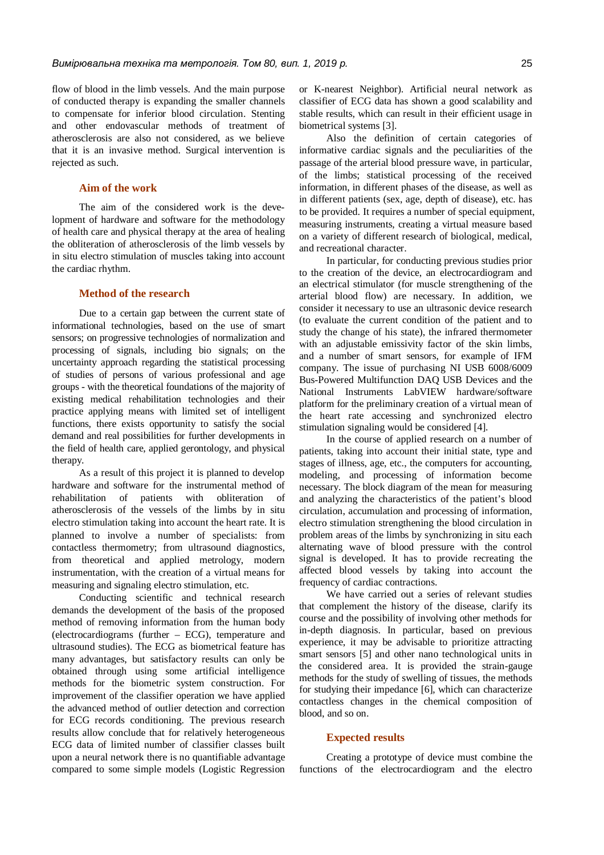flow of blood in the limb vessels. And the main purpose of conducted therapy is expanding the smaller channels to compensate for inferior blood circulation. Stenting and other endovascular methods of treatment of atherosclerosis are also not considered, as we believe that it is an invasive method. Surgical intervention is rejected as such.

### **Aim of the work**

The aim of the considered work is the development of hardware and software for the methodology of health care and physical therapy at the area of healing the obliteration of atherosclerosis of the limb vessels by in situ electro stimulation of muscles taking into account the cardiac rhythm.

## **Method of the research**

Due to a certain gap between the current state of informational technologies, based on the use of smart sensors; on progressive technologies of normalization and processing of signals, including bio signals; on the uncertainty approach regarding the statistical processing of studies of persons of various professional and age groups - with the theoretical foundations of the majority of existing medical rehabilitation technologies and their practice applying means with limited set of intelligent functions, there exists opportunity to satisfy the social demand and real possibilities for further developments in the field of health care, applied gerontology, and physical therapy.

As a result of this project it is planned to develop hardware and software for the instrumental method of rehabilitation of patients with obliteration of atherosclerosis of the vessels of the limbs by in situ electro stimulation taking into account the heart rate. It is planned to involve a number of specialists: from contactless thermometry; from ultrasound diagnostics, from theoretical and applied metrology, modern instrumentation, with the creation of a virtual means for measuring and signaling electro stimulation, etc.

Conducting scientific and technical research demands the development of the basis of the proposed method of removing information from the human body (electrocardiograms (further – ECG), temperature and ultrasound studies). The ECG as biometrical feature has many advantages, but satisfactory results can only be obtained through using some artificial intelligence methods for the biometric system construction. For improvement of the classifier operation we have applied the advanced method of outlier detection and correction for ECG records conditioning. The previous research results allow conclude that for relatively heterogeneous ECG data of limited number of classifier classes built upon a neural network there is no quantifiable advantage compared to some simple models (Logistic Regression or K-nearest Neighbor). Artificial neural network as classifier of ECG data has shown a good scalability and stable results, which can result in their efficient usage in biometrical systems [3].

Also the definition of certain categories of informative cardiac signals and the peculiarities of the passage of the arterial blood pressure wave, in particular, of the limbs; statistical processing of the received information, in different phases of the disease, as well as in different patients (sex, age, depth of disease), etc. has to be provided. It requires a number of special equipment, measuring instruments, creating a virtual measure based on a variety of different research of biological, medical, and recreational character.

In particular, for conducting previous studies prior to the creation of the device, an electrocardiogram and an electrical stimulator (for muscle strengthening of the arterial blood flow) are necessary. In addition, we consider it necessary to use an ultrasonic device research (to evaluate the current condition of the patient and to study the change of his state), the infrared thermometer with an adjustable emissivity factor of the skin limbs, and a number of smart sensors, for example of IFM company. The issue of purchasing NI USB 6008/6009 Bus-Powered Multifunction DAQ USB Devices and the National Instruments LabVIEW hardware/software platform for the preliminary creation of a virtual mean of the heart rate accessing and synchronized electro stimulation signaling would be considered [4].

In the course of applied research on a number of patients, taking into account their initial state, type and stages of illness, age, etc., the computers for accounting, modeling, and processing of information become necessary. The block diagram of the mean for measuring and analyzing the characteristics of the patient's blood circulation, accumulation and processing of information, electro stimulation strengthening the blood circulation in problem areas of the limbs by synchronizing in situ each alternating wave of blood pressure with the control signal is developed. It has to provide recreating the affected blood vessels by taking into account the frequency of cardiac contractions.

We have carried out a series of relevant studies that complement the history of the disease, clarify its course and the possibility of involving other methods for in-depth diagnosis. In particular, based on previous experience, it may be advisable to prioritize attracting smart sensors [5] and other nano technological units in the considered area. It is provided the strain-gauge methods for the study of swelling of tissues, the methods for studying their impedance [6], which can characterize contactless changes in the chemical composition of blood, and so on.

## **Expected results**

Creating a prototype of device must combine the functions of the electrocardiogram and the electro